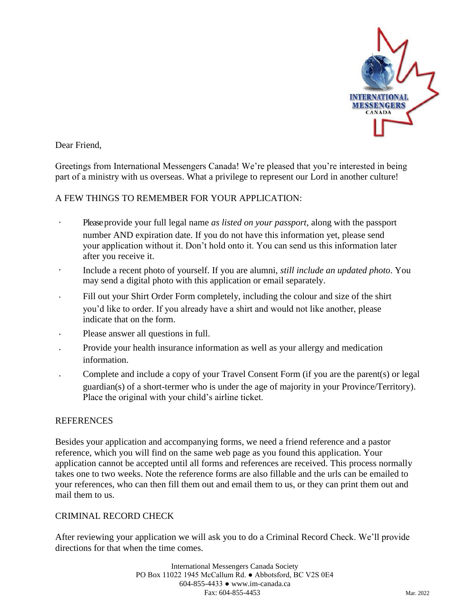

Dear Friend,

Greetings from International Messengers Canada! We're pleased that you're interested in being part of a ministry with us overseas. What a privilege to represent our Lord in another culture!

#### A FEW THINGS TO REMEMBER FOR YOUR APPLICATION:

- Pleaseprovide your full legal name *as listed on your passport*, along with the passport number AND expiration date. If you do not have this information yet, please send your application without it. Don't hold onto it. You can send us this information later after you receive it.
- $\ddot{\phantom{a}}$ Include a recent photo of yourself. If you are alumni, *still include an updated photo*. You may send a digital photo with this application or email separately.
- Fill out your Shirt Order Form completely, including the colour and size of the shirt you'd like to order. If you already have a shirt and would not like another, please indicate that on the form.
- Please answer all questions in full.
- Provide your health insurance information as well as your allergy and medication information.
- Complete and include a copy of your Travel Consent Form (if you are the parent(s) or legal guardian(s) of a short-termer who is under the age of majority in your Province/Territory). Place the original with your child's airline ticket.

#### **REFERENCES**

Besides your application and accompanying forms, we need a friend reference and a pastor reference, which you will find on the same web page as you found this application. Your application cannot be accepted until all forms and references are received. This process normally takes one to two weeks. Note the reference forms are also fillable and the urls can be emailed to your references, who can then fill them out and email them to us, or they can print them out and mail them to us.

#### CRIMINAL RECORD CHECK

After reviewing your application we will ask you to do a Criminal Record Check. We'll provide directions for that when the time comes.

> International Messengers Canada Society PO Box 11022 1945 McCallum Rd. ● Abbotsford, BC V2S 0E4 604-855-4433 ● www.im-canada.ca Fax: 604-855-4453 Mar. 2022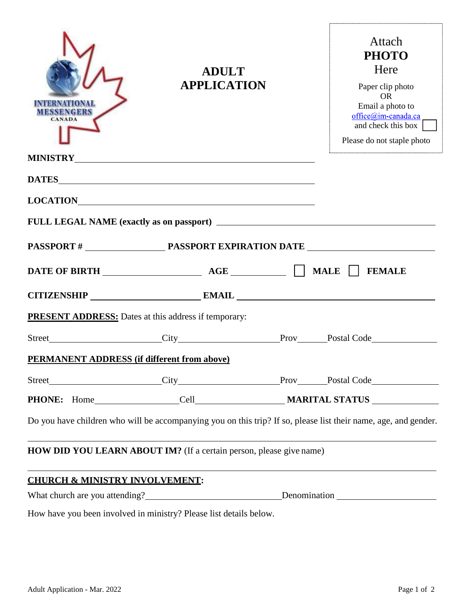| M BSS BN 092S<br><b>CANADA</b>                              | <b>ADULT</b><br><b>APPLICATION</b>                                                                                                                                                                                            | Attach<br><b>PHOTO</b><br>Here<br>Paper clip photo<br><b>OR</b><br>Email a photo to<br>office@im-canada.ca<br>and check this box<br>Please do not staple photo |
|-------------------------------------------------------------|-------------------------------------------------------------------------------------------------------------------------------------------------------------------------------------------------------------------------------|----------------------------------------------------------------------------------------------------------------------------------------------------------------|
|                                                             | MINISTRY CONSTRUCTION CONTROL CONTROL CONTROL CONTROL CONTROL CONTROL CONTROL CONTROL CONTROL CONTROL CONTROL CONTROL CONTROL CONTROL CONTROL CONTROL CONTROL CONTROL CONTROL CONTROL CONTROL CONTROL CONTROL CONTROL CONTROL |                                                                                                                                                                |
|                                                             |                                                                                                                                                                                                                               |                                                                                                                                                                |
|                                                             |                                                                                                                                                                                                                               |                                                                                                                                                                |
|                                                             |                                                                                                                                                                                                                               |                                                                                                                                                                |
|                                                             |                                                                                                                                                                                                                               |                                                                                                                                                                |
|                                                             | DATE OF BIRTH $\qquad \qquad \qquad$ AGE $\qquad \qquad$ MALE $\Box$ FEMALE                                                                                                                                                   |                                                                                                                                                                |
|                                                             | CITIZENSHIP EMAIL EMAIL                                                                                                                                                                                                       |                                                                                                                                                                |
| <b>PRESENT ADDRESS:</b> Dates at this address if temporary: |                                                                                                                                                                                                                               |                                                                                                                                                                |
|                                                             |                                                                                                                                                                                                                               |                                                                                                                                                                |
| <b>PERMANENT ADDRESS (if different from above)</b>          |                                                                                                                                                                                                                               |                                                                                                                                                                |
|                                                             |                                                                                                                                                                                                                               |                                                                                                                                                                |
|                                                             |                                                                                                                                                                                                                               |                                                                                                                                                                |
|                                                             |                                                                                                                                                                                                                               | Do you have children who will be accompanying you on this trip? If so, please list their name, age, and gender.                                                |
|                                                             | HOW DID YOU LEARN ABOUT IM? (If a certain person, please give name)                                                                                                                                                           |                                                                                                                                                                |
| <b>CHURCH &amp; MINISTRY INVOLVEMENT:</b>                   |                                                                                                                                                                                                                               |                                                                                                                                                                |
|                                                             |                                                                                                                                                                                                                               | What church are you attending?<br><u>Denomination</u>                                                                                                          |
|                                                             | How have you been involved in ministry? Please list details below.                                                                                                                                                            |                                                                                                                                                                |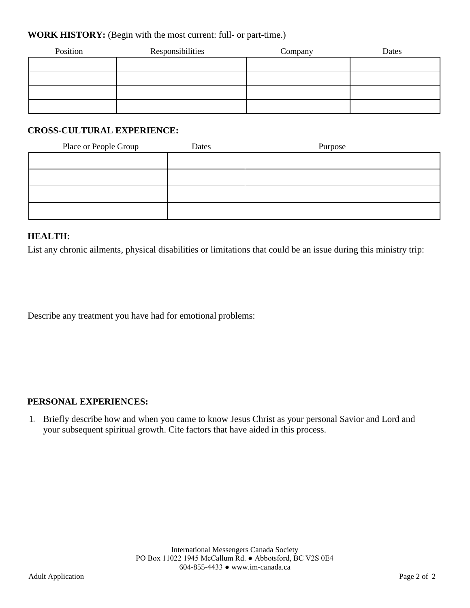#### **WORK HISTORY:** (Begin with the most current: full- or part-time.)

| Position | Responsibilities | Company | Dates |
|----------|------------------|---------|-------|
|          |                  |         |       |
|          |                  |         |       |
|          |                  |         |       |
|          |                  |         |       |

#### **CROSS-CULTURAL EXPERIENCE:**

| Place or People Group | Dates | Purpose |
|-----------------------|-------|---------|
|                       |       |         |
|                       |       |         |
|                       |       |         |
|                       |       |         |

#### **HEALTH:**

List any chronic ailments, physical disabilities or limitations that could be an issue during this ministry trip:

Describe any treatment you have had for emotional problems:

#### **PERSONAL EXPERIENCES:**

1. Briefly describe how and when you came to know Jesus Christ as your personal Savior and Lord and your subsequent spiritual growth. Cite factors that have aided in this process.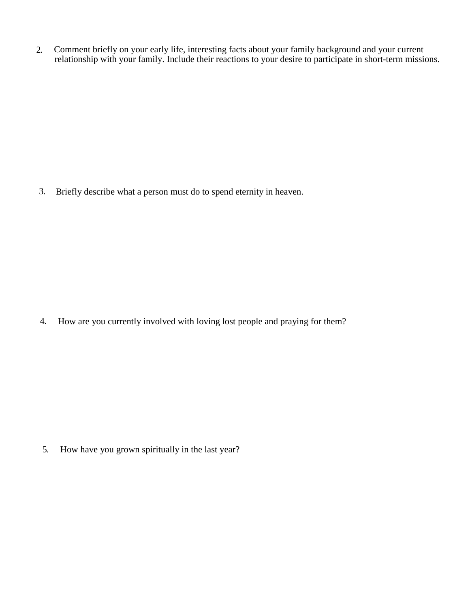Comment briefly on your early life, interesting facts about your family background and your current relationship with your family. Include their reactions to your desire to participate in short-term missions. 2.

Briefly describe what a person must do to spend eternity in heaven. 3.

How are you currently involved with loving lost people and praying for them? 4.

How have you grown spiritually in the last year? 5.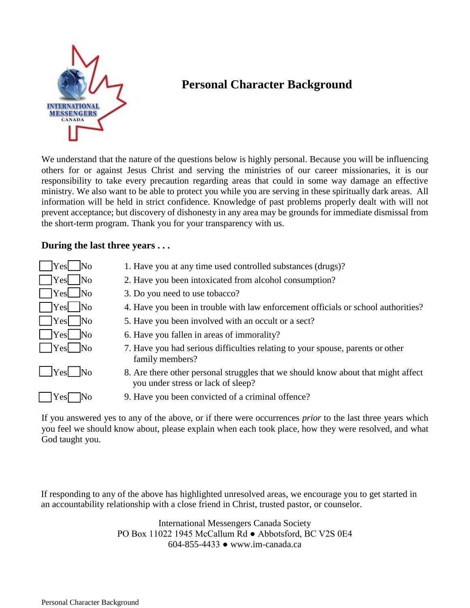

# **Personal Character Background**

We understand that the nature of the questions below is highly personal. Because you will be influencing others for or against Jesus Christ and serving the ministries of our career missionaries, it is our responsibility to take every precaution regarding areas that could in some way damage an effective ministry. We also want to be able to protect you while you are serving in these spiritually dark areas. All information will be held in strict confidence. Knowledge of past problems properly dealt with will not prevent acceptance; but discovery of dishonesty in any area may be grounds for immediate dismissal from the short-term program. Thank you for your transparency with us.

#### **During the last three years . . .**

| Yes<br>$\overline{\text{No}}$     | 1. Have you at any time used controlled substances (drugs)?                                                             |
|-----------------------------------|-------------------------------------------------------------------------------------------------------------------------|
| $\overline{\rm No}$<br>Yes        | 2. Have you been intoxicated from alcohol consumption?                                                                  |
| $ $ Yes $\Box$ No                 | 3. Do you need to use tobacco?                                                                                          |
| Yes   No                          | 4. Have you been in trouble with law enforcement officials or school authorities?                                       |
| Yes   No                          | 5. Have you been involved with an occult or a sect?                                                                     |
| Yes  No                           | 6. Have you fallen in areas of immorality?                                                                              |
| $ $ Yes $ $ No                    | 7. Have you had serious difficulties relating to your spouse, parents or other<br>family members?                       |
| $\Box$ Yes<br>$\overline{\rm No}$ | 8. Are there other personal struggles that we should know about that might affect<br>you under stress or lack of sleep? |
| es                                | 9. Have you been convicted of a criminal offence?                                                                       |
|                                   |                                                                                                                         |

If you answered yes to any of the above, or if there were occurrences *prior* to the last three years which you feel we should know about, please explain when each took place, how they were resolved, and what God taught you.

If responding to any of the above has highlighted unresolved areas, we encourage you to get started in an accountability relationship with a close friend in Christ, trusted pastor, or counselor.

> International Messengers Canada Society PO Box 11022 1945 McCallum Rd ● Abbotsford, BC V2S 0E4 604-855-4433 ● www.im-canada.ca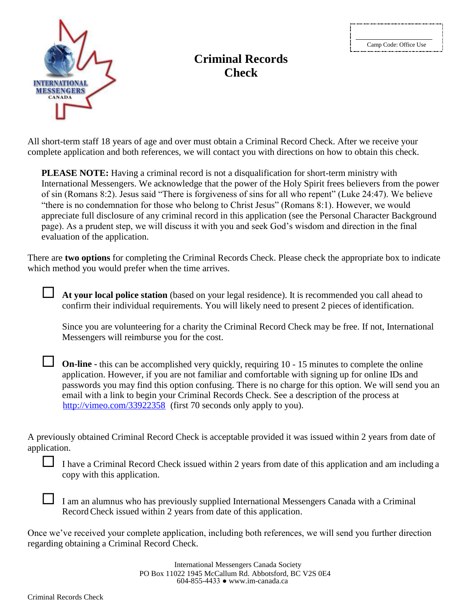

### **Criminal Records Check**

All short-term staff 18 years of age and over must obtain a Criminal Record Check. After we receive your complete application and both references, we will contact you with directions on how to obtain this check.

**PLEASE NOTE:** Having a criminal record is not a disqualification for short-term ministry with International Messengers. We acknowledge that the power of the Holy Spirit frees believers from the power of sin (Romans 8:2). Jesus said "There is forgiveness of sins for all who repent" (Luke 24:47). We believe "there is no condemnation for those who belong to Christ Jesus" (Romans 8:1). However, we would appreciate full disclosure of any criminal record in this application (see the Personal Character Background page). As a prudent step, we will discuss it with you and seek God's wisdom and direction in the final evaluation of the application.

There are **two options** for completing the Criminal Records Check. Please check the appropriate box to indicate which method you would prefer when the time arrives.

 **At your local police station** (based on your legal residence). It is recommended you call ahead to confirm their individual requirements. You will likely need to present 2 pieces of identification.

Since you are volunteering for a charity the Criminal Record Check may be free. If not, International Messengers will reimburse you for the cost.

http://vimeo.com/33922358 (first 70 seconds only apply to you). **On-line -** this can be accomplished very quickly, requiring 10 - 15 minutes to complete the online application. However, if you are not familiar and comfortable with signing up for online IDs and passwords you may find this option confusing. There is no charge for this option. We will send you an email with a link to begin your Criminal Records Check. See a description of the process at

A previously obtained Criminal Record Check is acceptable provided it was issued within 2 years from date of application.

I have a Criminal Record Check issued within 2 years from date of this application and am including a copy with this application.

I am an alumnus who has previously supplied International Messengers Canada with a Criminal RecordCheck issued within 2 years from date of this application.

Once we've received your complete application, including both references, we will send you further direction regarding obtaining a Criminal Record Check.

> International Messengers Canada Society PO Box 11022 1945 McCallum Rd. Abbotsford, BC V2S 0E4 604-855-4433 ● www.im-canada.ca

Criminal Records Check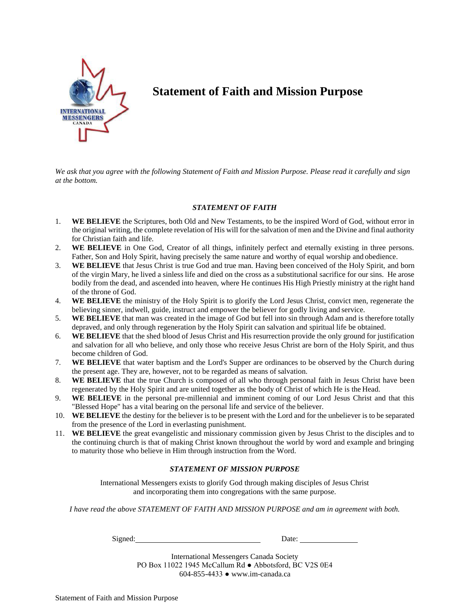

## **Statement of Faith and Mission Purpose**

*We ask that you agree with the following Statement of Faith and Mission Purpose. Please read it carefully and sign at the bottom.*

#### *STATEMENT OF FAITH*

- 1. **WE BELIEVE** the Scriptures, both Old and New Testaments, to be the inspired Word of God, without error in the original writing, the complete revelation of His will for the salvation of men and the Divine and final authority for Christian faith and life.
- 2. **WE BELIEVE** in One God, Creator of all things, infinitely perfect and eternally existing in three persons. Father, Son and Holy Spirit, having precisely the same nature and worthy of equal worship and obedience.
- 3. **WE BELIEVE** that Jesus Christ is true God and true man. Having been conceived of the Holy Spirit, and born of the virgin Mary, he lived a sinless life and died on the cross as a substitutional sacrifice for our sins. He arose bodily from the dead, and ascended into heaven, where He continues His High Priestly ministry at the right hand of the throne of God.
- 4. **WE BELIEVE** the ministry of the Holy Spirit is to glorify the Lord Jesus Christ, convict men, regenerate the believing sinner, indwell, guide, instruct and empower the believer for godly living and service.
- 5. **WE BELIEVE** that man was created in the image of God but fell into sin through Adam and is therefore totally depraved, and only through regeneration by the Holy Spirit can salvation and spiritual life be obtained.
- 6. **WE BELIEVE** that the shed blood of Jesus Christ and His resurrection provide the only ground for justification and salvation for all who believe, and only those who receive Jesus Christ are born of the Holy Spirit, and thus become children of God.
- 7. **WE BELIEVE** that water baptism and the Lord's Supper are ordinances to be observed by the Church during the present age. They are, however, not to be regarded as means of salvation.
- 8. **WE BELIEVE** that the true Church is composed of all who through personal faith in Jesus Christ have been regenerated by the Holy Spirit and are united together as the body of Christ of which He is the Head.
- 9. **WE BELIEVE** in the personal pre-millennial and imminent coming of our Lord Jesus Christ and that this "Blessed Hope" has a vital bearing on the personal life and service of the believer.
- 10. **WE BELIEVE** the destiny for the believer is to be present with the Lord and for the unbeliever is to be separated from the presence of the Lord in everlasting punishment.
- 11. **WE BELIEVE** the great evangelistic and missionary commission given by Jesus Christ to the disciples and to the continuing church is that of making Christ known throughout the world by word and example and bringing to maturity those who believe in Him through instruction from the Word.

#### *STATEMENT OF MISSION PURPOSE*

International Messengers exists to glorify God through making disciples of Jesus Christ and incorporating them into congregations with the same purpose.

*I have read the above STATEMENT OF FAITH AND MISSION PURPOSE and am in agreement with both.*

Signed:

Date:

International Messengers Canada Society PO Box 11022 1945 McCallum Rd ● Abbotsford, BC V2S 0E4 604-855-4433 ● www.im-canada.ca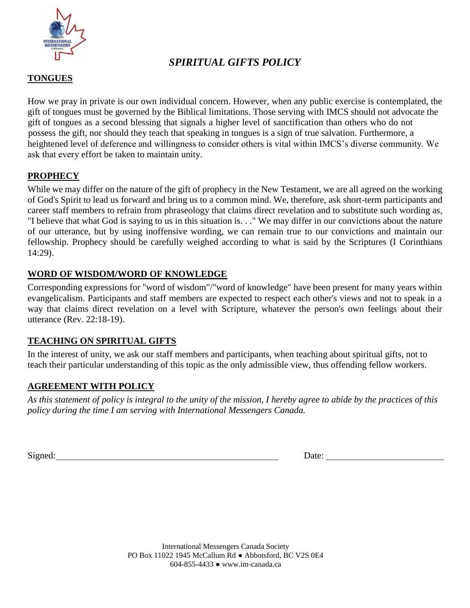

### *SPIRITUAL GIFTS POLICY*

#### **TONGUES**

How we pray in private is our own individual concern. However, when any public exercise is contemplated, the gift of tongues must be governed by the Biblical limitations. Those serving with IMCS should not advocate the gift of tongues as a second blessing that signals a higher level of sanctification than others who do not possess the gift, nor should they teach that speaking in tongues is a sign of true salvation. Furthermore, a heightened level of deference and willingness to consider others is vital within IMCS's diverse community. We ask that every effort be taken to maintain unity.

#### **PROPHECY**

While we may differ on the nature of the gift of prophecy in the New Testament, we are all agreed on the working of God's Spirit to lead us forward and bring us to a common mind. We, therefore, ask short-term participants and career staff members to refrain from phraseology that claims direct revelation and to substitute such wording as, "I believe that what God is saying to us in this situation is. . ." We may differ in our convictions about the nature of our utterance, but by using inoffensive wording, we can remain true to our convictions and maintain our fellowship. Prophecy should be carefully weighed according to what is said by the Scriptures (I Corinthians 14:29).

#### **WORD OF WISDOM/WORD OF KNOWLEDGE**

Corresponding expressions for "word of wisdom"/"word of knowledge" have been present for many years within evangelicalism. Participants and staff members are expected to respect each other's views and not to speak in a way that claims direct revelation on a level with Scripture, whatever the person's own feelings about their utterance (Rev. 22:18-19).

#### **TEACHING ON SPIRITUAL GIFTS**

In the interest of unity, we ask our staff members and participants, when teaching about spiritual gifts, not to teach their particular understanding of this topic as the only admissible view, thus offending fellow workers.

#### **AGREEMENT WITH POLICY**

*As this statement of policy is integral to the unity of the mission, I hereby agree to abide by the practices of this policy during the time I am serving with International Messengers Canada.*

Signed: Date: Date: Date: Date: Date: Date: Date: Date: Date: Date: Date: Date: Date: Date: Date: Date: Date: Date: Date: Date: Date: Date: Date: Date: Date: Date: Date: Date: Date: Date: Date: Date: Date: Date: Date: Date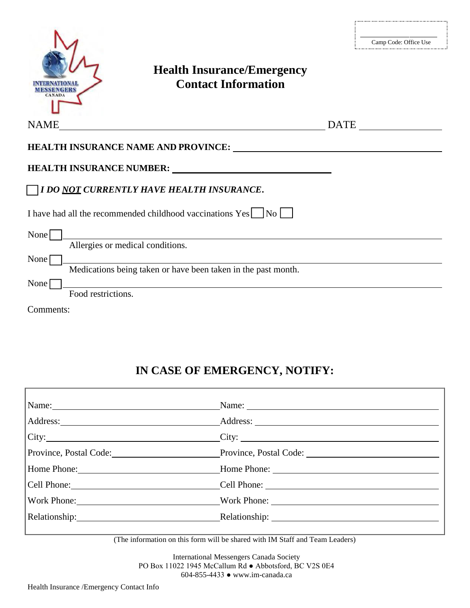|                                          | <b>Health Insurance/Emergency</b><br><b>Contact Information</b>                                                                                                                                                                |             | Camp Code: Office Use |
|------------------------------------------|--------------------------------------------------------------------------------------------------------------------------------------------------------------------------------------------------------------------------------|-------------|-----------------------|
| <b>NAME</b>                              |                                                                                                                                                                                                                                | <b>DATE</b> |                       |
|                                          |                                                                                                                                                                                                                                |             |                       |
|                                          | HEALTH INSURANCE NUMBER: University of the state of the state of the state of the state of the state of the state of the state of the state of the state of the state of the state of the state of the state of the state of t |             |                       |
|                                          | <b>THE TEAL THE TEAL THE SET OF STATE IN SURANCE.</b>                                                                                                                                                                          |             |                       |
|                                          | I have had all the recommended childhood vaccinations Yes No                                                                                                                                                                   |             |                       |
| None<br>Allergies or medical conditions. |                                                                                                                                                                                                                                |             |                       |
| None                                     | Medications being taken or have been taken in the past month.                                                                                                                                                                  |             |                       |
| None<br>Food restrictions.               |                                                                                                                                                                                                                                |             |                       |
| Comments:                                |                                                                                                                                                                                                                                |             |                       |

# **IN CASE OF EMERGENCY, NOTIFY:**

| Name: Name: |                                                                      |  |
|-------------|----------------------------------------------------------------------|--|
|             |                                                                      |  |
|             | City: City: City:                                                    |  |
|             | Province, Postal Code: Province, Postal Code: Province, Postal Code: |  |
|             | Home Phone: Home Phone: Home Phone:                                  |  |
|             | Cell Phone: Cell Phone: Cell Phone:                                  |  |
|             | Work Phone: Work Phone: Work Phone:                                  |  |
|             |                                                                      |  |
|             |                                                                      |  |

(The information on this form will be shared with IM Staff and Team Leaders)

International Messengers Canada Society PO Box 11022 1945 McCallum Rd ● Abbotsford, BC V2S 0E4 604-855-4433 ● www.im-canada.ca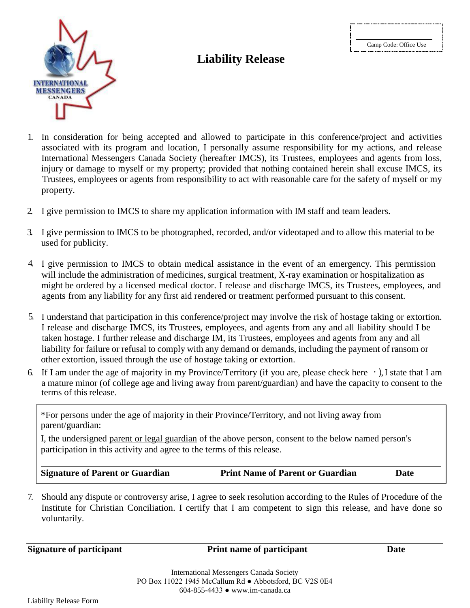Camp Code: Office Use



# **Liability Release**

- 1. In consideration for being accepted and allowed to participate in this conference/project and activities associated with its program and location, I personally assume responsibility for my actions, and release International Messengers Canada Society (hereafter IMCS), its Trustees, employees and agents from loss, injury or damage to myself or my property; provided that nothing contained herein shall excuse IMCS, its Trustees, employees or agents from responsibility to act with reasonable care for the safety of myself or my property.
- 2. I give permission to IMCS to share my application information with IM staff and team leaders.
- 3. I give permission to IMCS to be photographed, recorded, and/or videotaped and to allow this material to be used for publicity.
- 4. I give permission to IMCS to obtain medical assistance in the event of an emergency. This permission will include the administration of medicines, surgical treatment, X-ray examination or hospitalization as might be ordered by a licensed medical doctor. I release and discharge IMCS, its Trustees, employees, and agents from any liability for any first aid rendered or treatment performed pursuant to this consent.
- 5. I understand that participation in this conference/project may involve the risk of hostage taking or extortion. I release and discharge IMCS, its Trustees, employees, and agents from any and all liability should I be taken hostage. I further release and discharge IM, its Trustees, employees and agents from any and all liability for failure or refusal to comply with any demand or demands, including the payment of ransom or other extortion, issued through the use of hostage taking or extortion.
- 6. If I am under the age of majority in my Province/Territory (if you are, please check here  $\cdot$ ), I state that I am a mature minor (of college age and living away from parent/guardian) and have the capacity to consent to the terms of this release.

\*For persons under the age of majority in their Province/Territory, and not living away from parent/guardian:

I, the undersigned parent or legal guardian of the above person, consent to the below named person's participation in this activity and agree to the terms of this release.

**Signature of Parent or Guardian Print Name of Parent or Guardian Date** 

7. Should any dispute or controversy arise, I agree to seek resolution according to the Rules of Procedure of the Institute for Christian Conciliation. I certify that I am competent to sign this release, and have done so voluntarily.

**Signature of participant Print name of participant Date**

International Messengers Canada Society PO Box 11022 1945 McCallum Rd ● Abbotsford, BC V2S 0E4 604-855-4433 ● www.im-canada.ca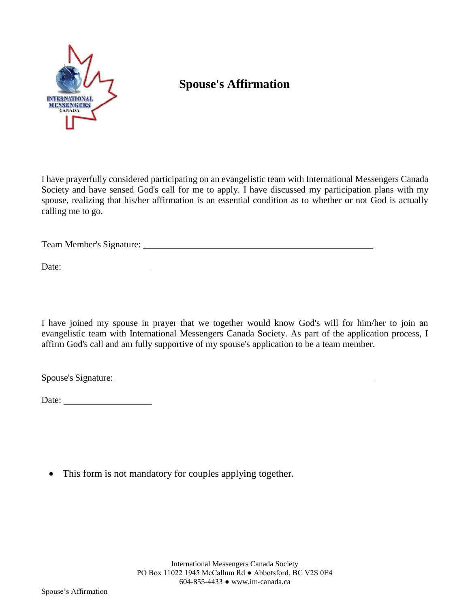

# **Spouse's Affirmation**

I have prayerfully considered participating on an evangelistic team with International Messengers Canada Society and have sensed God's call for me to apply. I have discussed my participation plans with my spouse, realizing that his/her affirmation is an essential condition as to whether or not God is actually calling me to go.

Team Member's Signature: University of the Second Second Second Second Second Second Second Second Second Second Second Second Second Second Second Second Second Second Second Second Second Second Second Second Second Seco

Date:

I have joined my spouse in prayer that we together would know God's will for him/her to join an evangelistic team with International Messengers Canada Society. As part of the application process, I affirm God's call and am fully supportive of my spouse's application to be a team member.

Spouse's Signature:

Date:

• This form is not mandatory for couples applying together.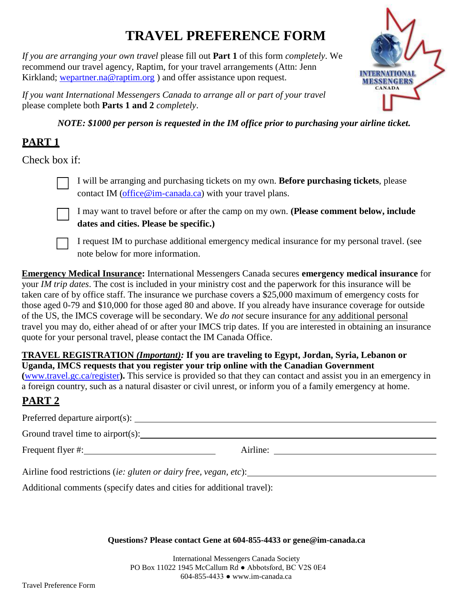# **TRAVEL PREFERENCE FORM**

*If you are arranging your own travel* please fill out **Part 1** of this form *completely*. We recommend our travel agency, Raptim, for your travel arrangements (Attn: Jenn Kirkland; [wepartner.na@raptim.org](mailto:wepartner.na@raptim.org)) and offer assistance upon request.

*If you want International Messengers Canada to arrange all or part of your travel* please complete both **Parts 1 and 2** *completely*.

*NOTE: \$1000 per person is requested in the IM office prior to purchasing your airline ticket.*

**INTERNATIONAL MESSENGERS CANADA** 

## **PART 1**

Check box if:



I will be arranging and purchasing tickets on my own. **Before purchasing tickets**, please contact IM [\(office@im-canada.ca\)](mailto:office@im-canada.ca) with your travel plans.



I may want to travel before or after the camp on my own. **(Please comment below, include dates and cities. Please be specific.)**

I request IM to purchase additional emergency medical insurance for my personal travel. (see note below for more information.

**Emergency Medical Insurance:** International Messengers Canada secures **emergency medical insurance** for your *IM trip dates*. The cost is included in your ministry cost and the paperwork for this insurance will be taken care of by office staff. The insurance we purchase covers a \$25,000 maximum of emergency costs for those aged 0-79 and \$10,000 for those aged 80 and above. If you already have insurance coverage for outside of the US, the IMCS coverage will be secondary. We *do not* secure insurance for any additional personal travel you may do, either ahead of or after your IMCS trip dates. If you are interested in obtaining an insurance quote for your personal travel, please contact the IM Canada Office.

#### **(**[www.travel.gc.ca/register](http://www.travel.gc.ca/register)**).** This service is provided so that they can contact and assist you in an emergency in **TRAVEL REGISTRATION** *(Important):* **If you are traveling to Egypt, Jordan, Syria, Lebanon or Uganda, IMCS requests that you register your trip online with the Canadian Government**

a foreign country, such as a natural disaster or civil unrest, or inform you of a family emergency at home.

# **PART 2**

|                                                                   | Airline: |
|-------------------------------------------------------------------|----------|
| Airline food restrictions (ie: gluten or dairy free, vegan, etc): |          |

Additional comments (specify dates and cities for additional travel):

**Questions? Please contact Gene at 604-855-4433 or [gene@im-canada.ca](mailto:gene@im-canada.ca)**

International Messengers Canada Society PO Box 11022 1945 McCallum Rd ● Abbotsford, BC V2S 0E4 604-855-4433 ● www.im-canada.ca